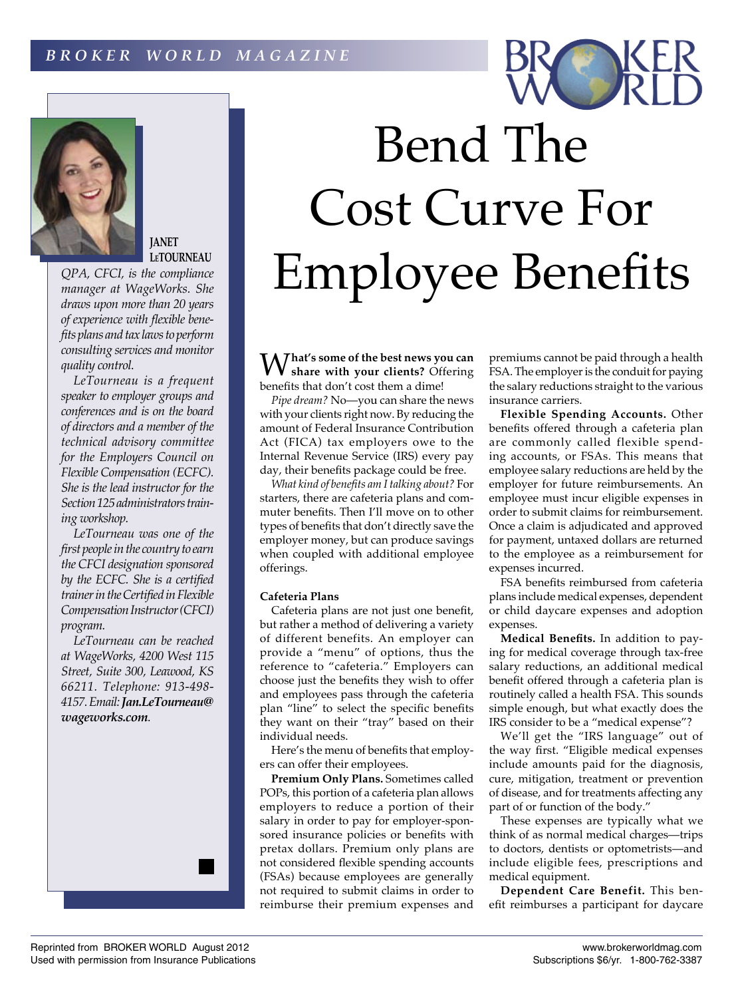



**JANET LeTOURNEAU**

*QPA, CFCI, is the compliance manager at WageWorks. She draws upon more than 20 years of experience with flexible benefits plans and tax laws to perform consulting services and monitor quality control.*

*LeTourneau is a frequent speaker to employer groups and conferences and is on the board of directors and a member of the technical advisory committee for the Employers Council on Flexible Compensation (ECFC). She is the lead instructor for the Section 125 administrators training workshop.*

*LeTourneau was one of the first people in the country to earn the CFCI designation sponsored by the ECFC. She is a certified trainer in the Certified in Flexible Compensation Instructor (CFCI) program.*

*LeTourneau can be reached at WageWorks, 4200 West 115 Street, Suite 300, Leawood, KS 66211. Telephone: 913-498- 4157. Email: Jan.LeTourneau@ wageworks.com.*



W**hat's some of the best news you can share with your clients?** Offering benefits that don't cost them a dime!

*Pipe dream?* No—you can share the news with your clients right now. By reducing the amount of Federal Insurance Contribution Act (FICA) tax employers owe to the Internal Revenue Service (IRS) every pay day, their benefits package could be free.

*What kind of benefits am I talking about?* For starters, there are cafeteria plans and commuter benefits. Then I'll move on to other types of benefits that don't directly save the employer money, but can produce savings when coupled with additional employee offerings.

## **Cafeteria Plans**

Cafeteria plans are not just one benefit, but rather a method of delivering a variety of different benefits. An employer can provide a "menu" of options, thus the reference to "cafeteria." Employers can choose just the benefits they wish to offer and employees pass through the cafeteria plan "line" to select the specific benefits they want on their "tray" based on their individual needs.

Here's the menu of benefits that employers can offer their employees.

**Premium Only Plans.** Sometimes called POPs, this portion of a cafeteria plan allows employers to reduce a portion of their salary in order to pay for employer-sponsored insurance policies or benefits with pretax dollars. Premium only plans are not considered flexible spending accounts (FSAs) because employees are generally not required to submit claims in order to reimburse their premium expenses and

premiums cannot be paid through a health FSA. The employer is the conduit for paying the salary reductions straight to the various insurance carriers.

**Flexible Spending Accounts.** Other benefits offered through a cafeteria plan are commonly called flexible spending accounts, or FSAs. This means that employee salary reductions are held by the employer for future reimbursements. An employee must incur eligible expenses in order to submit claims for reimbursement. Once a claim is adjudicated and approved for payment, untaxed dollars are returned to the employee as a reimbursement for expenses incurred.

FSA benefits reimbursed from cafeteria plans include medical expenses, dependent or child daycare expenses and adoption expenses.

**Medical Benefits.** In addition to paying for medical coverage through tax-free salary reductions, an additional medical benefit offered through a cafeteria plan is routinely called a health FSA. This sounds simple enough, but what exactly does the IRS consider to be a "medical expense"?

We'll get the "IRS language" out of the way first. "Eligible medical expenses include amounts paid for the diagnosis, cure, mitigation, treatment or prevention of disease, and for treatments affecting any part of or function of the body."

These expenses are typically what we think of as normal medical charges—trips to doctors, dentists or optometrists—and include eligible fees, prescriptions and medical equipment.

**Dependent Care Benefit.** This benefit reimburses a participant for daycare